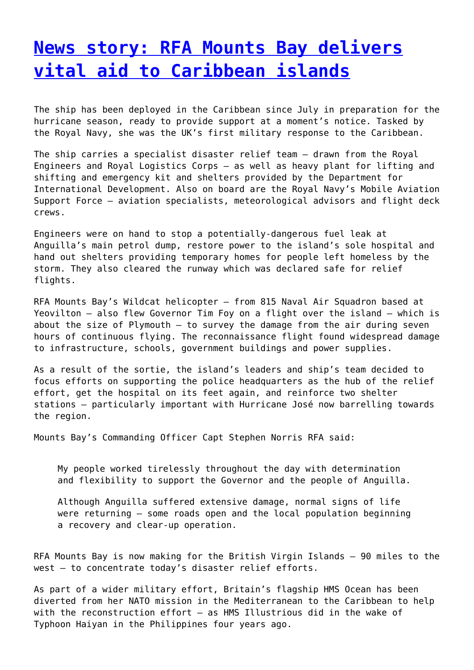## **[News story: RFA Mounts Bay delivers](http://www.government-world.com/news-story-rfa-mounts-bay-delivers-vital-aid-to-caribbean-islands-2/) [vital aid to Caribbean islands](http://www.government-world.com/news-story-rfa-mounts-bay-delivers-vital-aid-to-caribbean-islands-2/)**

The ship has been deployed in the Caribbean since July in preparation for the hurricane season, ready to provide support at a moment's notice. Tasked by the Royal Navy, she was the UK's first military response to the Caribbean.

The ship carries a specialist disaster relief team – drawn from the Royal Engineers and Royal Logistics Corps – as well as heavy plant for lifting and shifting and emergency kit and shelters provided by the Department for International Development. Also on board are the Royal Navy's Mobile Aviation Support Force – aviation specialists, meteorological advisors and flight deck crews.

Engineers were on hand to stop a potentially-dangerous fuel leak at Anguilla's main petrol dump, restore power to the island's sole hospital and hand out shelters providing temporary homes for people left homeless by the storm. They also cleared the runway which was declared safe for relief flights.

RFA Mounts Bay's Wildcat helicopter – from 815 Naval Air Squadron based at Yeovilton – also flew Governor Tim Foy on a flight over the island – which is about the size of Plymouth – to survey the damage from the air during seven hours of continuous flying. The reconnaissance flight found widespread damage to infrastructure, schools, government buildings and power supplies.

As a result of the sortie, the island's leaders and ship's team decided to focus efforts on supporting the police headquarters as the hub of the relief effort, get the hospital on its feet again, and reinforce two shelter stations – particularly important with Hurricane José now barrelling towards the region.

Mounts Bay's Commanding Officer Capt Stephen Norris RFA said:

My people worked tirelessly throughout the day with determination and flexibility to support the Governor and the people of Anguilla.

Although Anguilla suffered extensive damage, normal signs of life were returning – some roads open and the local population beginning a recovery and clear-up operation.

RFA Mounts Bay is now making for the British Virgin Islands – 90 miles to the west – to concentrate today's disaster relief efforts.

As part of a wider military effort, Britain's flagship HMS Ocean has been diverted from her NATO mission in the Mediterranean to the Caribbean to help with the reconstruction effort – as HMS Illustrious did in the wake of Typhoon Haiyan in the Philippines four years ago.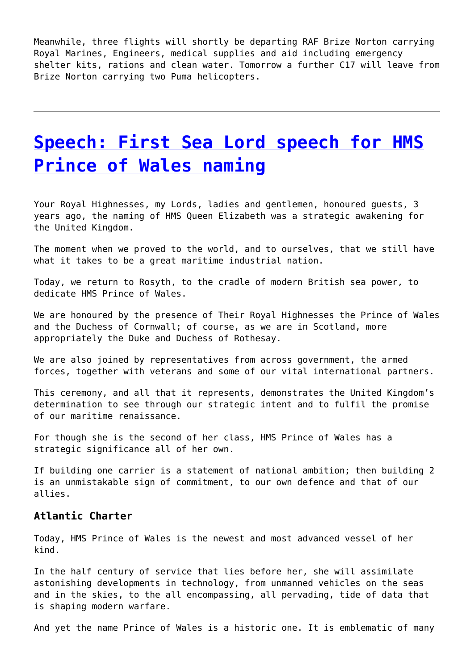Meanwhile, three flights will shortly be departing RAF Brize Norton carrying Royal Marines, Engineers, medical supplies and aid including emergency shelter kits, rations and clean water. Tomorrow a further C17 will leave from Brize Norton carrying two Puma helicopters.

## **[Speech: First Sea Lord speech for HMS](http://www.government-world.com/speech-first-sea-lord-speech-for-hms-prince-of-wales-naming-2/) [Prince of Wales naming](http://www.government-world.com/speech-first-sea-lord-speech-for-hms-prince-of-wales-naming-2/)**

Your Royal Highnesses, my Lords, ladies and gentlemen, honoured guests, 3 years ago, the naming of HMS Queen Elizabeth was a strategic awakening for the United Kingdom.

The moment when we proved to the world, and to ourselves, that we still have what it takes to be a great maritime industrial nation.

Today, we return to Rosyth, to the cradle of modern British sea power, to dedicate HMS Prince of Wales.

We are honoured by the presence of Their Royal Highnesses the Prince of Wales and the Duchess of Cornwall; of course, as we are in Scotland, more appropriately the Duke and Duchess of Rothesay.

We are also joined by representatives from across government, the armed forces, together with veterans and some of our vital international partners.

This ceremony, and all that it represents, demonstrates the United Kingdom's determination to see through our strategic intent and to fulfil the promise of our maritime renaissance.

For though she is the second of her class, HMS Prince of Wales has a strategic significance all of her own.

If building one carrier is a statement of national ambition; then building 2 is an unmistakable sign of commitment, to our own defence and that of our allies.

### **Atlantic Charter**

Today, HMS Prince of Wales is the newest and most advanced vessel of her kind.

In the half century of service that lies before her, she will assimilate astonishing developments in technology, from unmanned vehicles on the seas and in the skies, to the all encompassing, all pervading, tide of data that is shaping modern warfare.

And yet the name Prince of Wales is a historic one. It is emblematic of many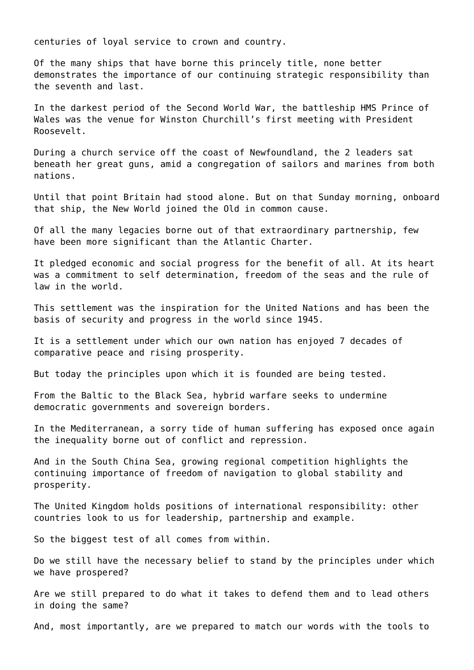centuries of loyal service to crown and country.

Of the many ships that have borne this princely title, none better demonstrates the importance of our continuing strategic responsibility than the seventh and last.

In the darkest period of the Second World War, the battleship HMS Prince of Wales was the venue for Winston Churchill's first meeting with President Roosevelt.

During a church service off the coast of Newfoundland, the 2 leaders sat beneath her great guns, amid a congregation of sailors and marines from both nations.

Until that point Britain had stood alone. But on that Sunday morning, onboard that ship, the New World joined the Old in common cause.

Of all the many legacies borne out of that extraordinary partnership, few have been more significant than the Atlantic Charter.

It pledged economic and social progress for the benefit of all. At its heart was a commitment to self determination, freedom of the seas and the rule of law in the world.

This settlement was the inspiration for the United Nations and has been the basis of security and progress in the world since 1945.

It is a settlement under which our own nation has enjoyed 7 decades of comparative peace and rising prosperity.

But today the principles upon which it is founded are being tested.

From the Baltic to the Black Sea, hybrid warfare seeks to undermine democratic governments and sovereign borders.

In the Mediterranean, a sorry tide of human suffering has exposed once again the inequality borne out of conflict and repression.

And in the South China Sea, growing regional competition highlights the continuing importance of freedom of navigation to global stability and prosperity.

The United Kingdom holds positions of international responsibility: other countries look to us for leadership, partnership and example.

So the biggest test of all comes from within.

Do we still have the necessary belief to stand by the principles under which we have prospered?

Are we still prepared to do what it takes to defend them and to lead others in doing the same?

And, most importantly, are we prepared to match our words with the tools to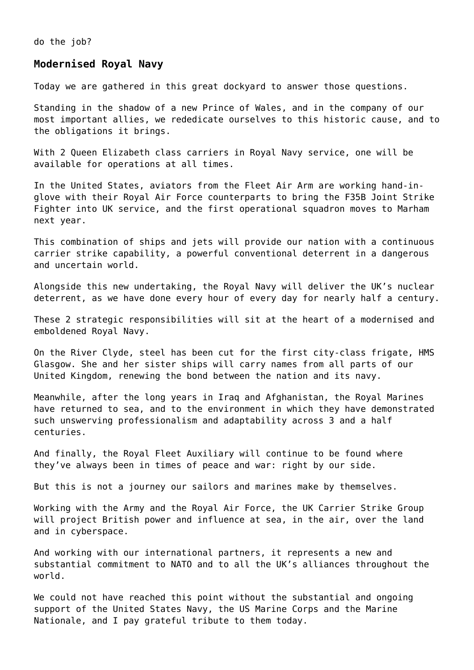do the job?

#### **Modernised Royal Navy**

Today we are gathered in this great dockyard to answer those questions.

Standing in the shadow of a new Prince of Wales, and in the company of our most important allies, we rededicate ourselves to this historic cause, and to the obligations it brings.

With 2 Queen Elizabeth class carriers in Royal Navy service, one will be available for operations at all times.

In the United States, aviators from the Fleet Air Arm are working hand-inglove with their Royal Air Force counterparts to bring the F35B Joint Strike Fighter into UK service, and the first operational squadron moves to Marham next year.

This combination of ships and jets will provide our nation with a continuous carrier strike capability, a powerful conventional deterrent in a dangerous and uncertain world.

Alongside this new undertaking, the Royal Navy will deliver the UK's nuclear deterrent, as we have done every hour of every day for nearly half a century.

These 2 strategic responsibilities will sit at the heart of a modernised and emboldened Royal Navy.

On the River Clyde, steel has been cut for the first city-class frigate, HMS Glasgow. She and her sister ships will carry names from all parts of our United Kingdom, renewing the bond between the nation and its navy.

Meanwhile, after the long years in Iraq and Afghanistan, the Royal Marines have returned to sea, and to the environment in which they have demonstrated such unswerving professionalism and adaptability across 3 and a half centuries.

And finally, the Royal Fleet Auxiliary will continue to be found where they've always been in times of peace and war: right by our side.

But this is not a journey our sailors and marines make by themselves.

Working with the Army and the Royal Air Force, the UK Carrier Strike Group will project British power and influence at sea, in the air, over the land and in cyberspace.

And working with our international partners, it represents a new and substantial commitment to NATO and to all the UK's alliances throughout the world.

We could not have reached this point without the substantial and ongoing support of the United States Navy, the US Marine Corps and the Marine Nationale, and I pay grateful tribute to them today.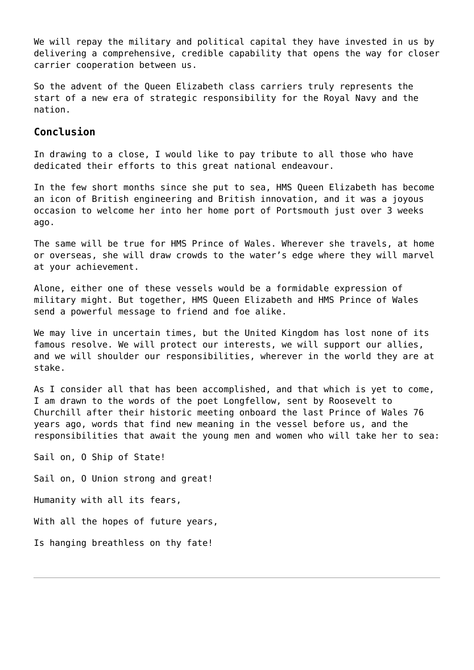We will repay the military and political capital they have invested in us by delivering a comprehensive, credible capability that opens the way for closer carrier cooperation between us.

So the advent of the Queen Elizabeth class carriers truly represents the start of a new era of strategic responsibility for the Royal Navy and the nation.

## **Conclusion**

In drawing to a close, I would like to pay tribute to all those who have dedicated their efforts to this great national endeavour.

In the few short months since she put to sea, HMS Queen Elizabeth has become an icon of British engineering and British innovation, and it was a joyous occasion to welcome her into her home port of Portsmouth just over 3 weeks ago.

The same will be true for HMS Prince of Wales. Wherever she travels, at home or overseas, she will draw crowds to the water's edge where they will marvel at your achievement.

Alone, either one of these vessels would be a formidable expression of military might. But together, HMS Queen Elizabeth and HMS Prince of Wales send a powerful message to friend and foe alike.

We may live in uncertain times, but the United Kingdom has lost none of its famous resolve. We will protect our interests, we will support our allies, and we will shoulder our responsibilities, wherever in the world they are at stake.

As I consider all that has been accomplished, and that which is yet to come, I am drawn to the words of the poet Longfellow, sent by Roosevelt to Churchill after their historic meeting onboard the last Prince of Wales 76 years ago, words that find new meaning in the vessel before us, and the responsibilities that await the young men and women who will take her to sea:

Sail on, O Ship of State! Sail on, O Union strong and great! Humanity with all its fears, With all the hopes of future years, Is hanging breathless on thy fate!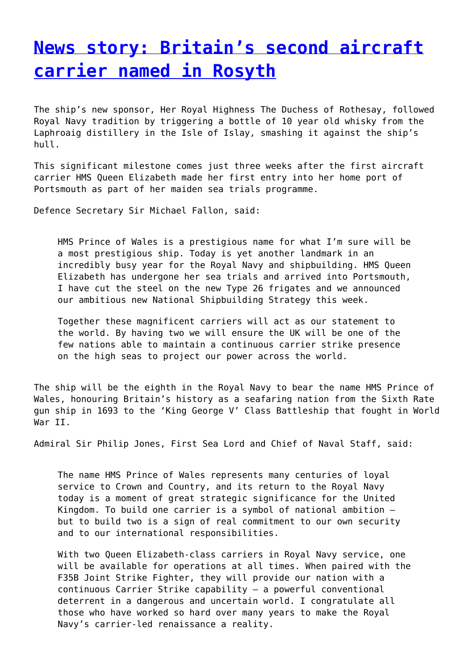## **[News story: Britain's second aircraft](http://www.government-world.com/news-story-britains-second-aircraft-carrier-named-in-rosyth-2/) [carrier named in Rosyth](http://www.government-world.com/news-story-britains-second-aircraft-carrier-named-in-rosyth-2/)**

The ship's new sponsor, Her Royal Highness The Duchess of Rothesay, followed Royal Navy tradition by triggering a bottle of 10 year old whisky from the Laphroaig distillery in the Isle of Islay, smashing it against the ship's hull.

This significant milestone comes just three weeks after the first aircraft carrier HMS Queen Elizabeth made her first entry into her home port of Portsmouth as part of her maiden sea trials programme.

Defence Secretary Sir Michael Fallon, said:

HMS Prince of Wales is a prestigious name for what I'm sure will be a most prestigious ship. Today is yet another landmark in an incredibly busy year for the Royal Navy and shipbuilding. HMS Queen Elizabeth has undergone her sea trials and arrived into Portsmouth, I have cut the steel on the new Type 26 frigates and we announced our ambitious new National Shipbuilding Strategy this week.

Together these magnificent carriers will act as our statement to the world. By having two we will ensure the UK will be one of the few nations able to maintain a continuous carrier strike presence on the high seas to project our power across the world.

The ship will be the eighth in the Royal Navy to bear the name HMS Prince of Wales, honouring Britain's history as a seafaring nation from the Sixth Rate gun ship in 1693 to the 'King George V' Class Battleship that fought in World War II.

Admiral Sir Philip Jones, First Sea Lord and Chief of Naval Staff, said:

The name HMS Prince of Wales represents many centuries of loyal service to Crown and Country, and its return to the Royal Navy today is a moment of great strategic significance for the United Kingdom. To build one carrier is a symbol of national ambition – but to build two is a sign of real commitment to our own security and to our international responsibilities.

With two Queen Elizabeth-class carriers in Royal Navy service, one will be available for operations at all times. When paired with the F35B Joint Strike Fighter, they will provide our nation with a continuous Carrier Strike capability – a powerful conventional deterrent in a dangerous and uncertain world. I congratulate all those who have worked so hard over many years to make the Royal Navy's carrier-led renaissance a reality.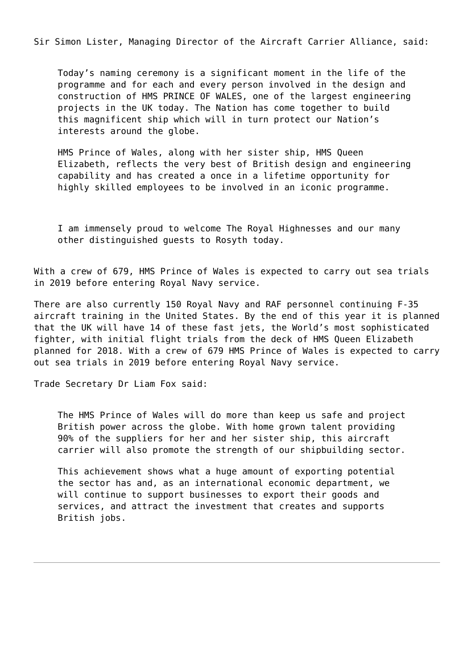Sir Simon Lister, Managing Director of the Aircraft Carrier Alliance, said:

Today's naming ceremony is a significant moment in the life of the programme and for each and every person involved in the design and construction of HMS PRINCE OF WALES, one of the largest engineering projects in the UK today. The Nation has come together to build this magnificent ship which will in turn protect our Nation's interests around the globe.

HMS Prince of Wales, along with her sister ship, HMS Queen Elizabeth, reflects the very best of British design and engineering capability and has created a once in a lifetime opportunity for highly skilled employees to be involved in an iconic programme.

I am immensely proud to welcome The Royal Highnesses and our many other distinguished guests to Rosyth today.

With a crew of 679, HMS Prince of Wales is expected to carry out sea trials in 2019 before entering Royal Navy service.

There are also currently 150 Royal Navy and RAF personnel continuing F-35 aircraft training in the United States. By the end of this year it is planned that the UK will have 14 of these fast jets, the World's most sophisticated fighter, with initial flight trials from the deck of HMS Queen Elizabeth planned for 2018. With a crew of 679 HMS Prince of Wales is expected to carry out sea trials in 2019 before entering Royal Navy service.

Trade Secretary Dr Liam Fox said:

The HMS Prince of Wales will do more than keep us safe and project British power across the globe. With home grown talent providing 90% of the suppliers for her and her sister ship, this aircraft carrier will also promote the strength of our shipbuilding sector.

This achievement shows what a huge amount of exporting potential the sector has and, as an international economic department, we will continue to support businesses to export their goods and services, and attract the investment that creates and supports British jobs.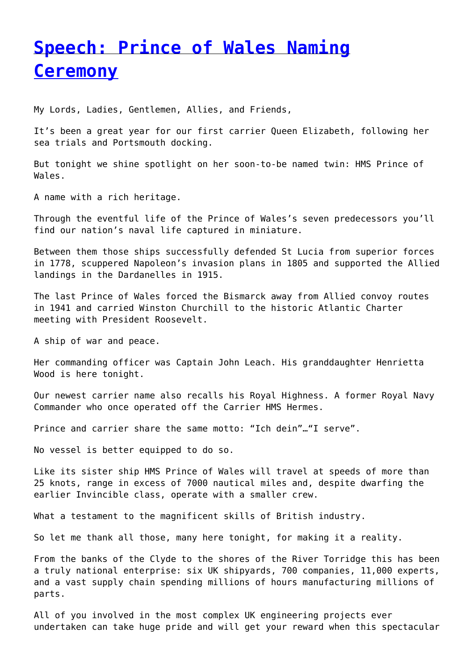# **[Speech: Prince of Wales Naming](http://www.government-world.com/speech-prince-of-wales-naming-ceremony/) [Ceremony](http://www.government-world.com/speech-prince-of-wales-naming-ceremony/)**

My Lords, Ladies, Gentlemen, Allies, and Friends,

It's been a great year for our first carrier Queen Elizabeth, following her sea trials and Portsmouth docking.

But tonight we shine spotlight on her soon-to-be named twin: HMS Prince of Wales.

A name with a rich heritage.

Through the eventful life of the Prince of Wales's seven predecessors you'll find our nation's naval life captured in miniature.

Between them those ships successfully defended St Lucia from superior forces in 1778, scuppered Napoleon's invasion plans in 1805 and supported the Allied landings in the Dardanelles in 1915.

The last Prince of Wales forced the Bismarck away from Allied convoy routes in 1941 and carried Winston Churchill to the historic Atlantic Charter meeting with President Roosevelt.

A ship of war and peace.

Her commanding officer was Captain John Leach. His granddaughter Henrietta Wood is here tonight.

Our newest carrier name also recalls his Royal Highness. A former Royal Navy Commander who once operated off the Carrier HMS Hermes.

Prince and carrier share the same motto: "Ich dein"…"I serve".

No vessel is better equipped to do so.

Like its sister ship HMS Prince of Wales will travel at speeds of more than 25 knots, range in excess of 7000 nautical miles and, despite dwarfing the earlier Invincible class, operate with a smaller crew.

What a testament to the magnificent skills of British industry.

So let me thank all those, many here tonight, for making it a reality.

From the banks of the Clyde to the shores of the River Torridge this has been a truly national enterprise: six UK shipyards, 700 companies, 11,000 experts, and a vast supply chain spending millions of hours manufacturing millions of parts.

All of you involved in the most complex UK engineering projects ever undertaken can take huge pride and will get your reward when this spectacular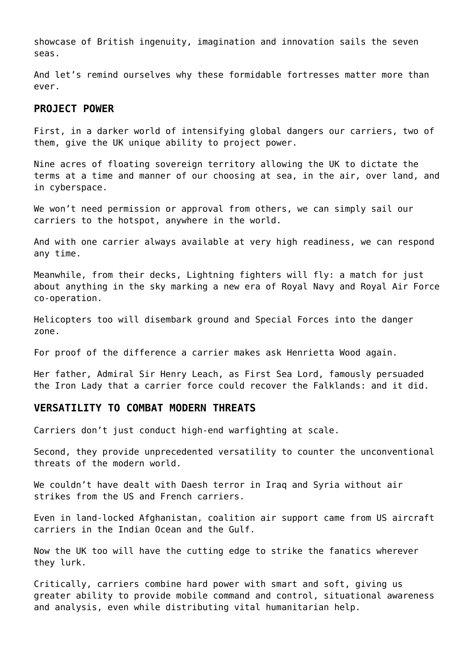showcase of British ingenuity, imagination and innovation sails the seven seas.

And let's remind ourselves why these formidable fortresses matter more than ever.

### **PROJECT POWER**

First, in a darker world of intensifying global dangers our carriers, two of them, give the UK unique ability to project power.

Nine acres of floating sovereign territory allowing the UK to dictate the terms at a time and manner of our choosing at sea, in the air, over land, and in cyberspace.

We won't need permission or approval from others, we can simply sail our carriers to the hotspot, anywhere in the world.

And with one carrier always available at very high readiness, we can respond any time.

Meanwhile, from their decks, Lightning fighters will fly: a match for just about anything in the sky marking a new era of Royal Navy and Royal Air Force co-operation.

Helicopters too will disembark ground and Special Forces into the danger zone.

For proof of the difference a carrier makes ask Henrietta Wood again.

Her father, Admiral Sir Henry Leach, as First Sea Lord, famously persuaded the Iron Lady that a carrier force could recover the Falklands: and it did.

### **VERSATILITY TO COMBAT MODERN THREATS**

Carriers don't just conduct high-end warfighting at scale.

Second, they provide unprecedented versatility to counter the unconventional threats of the modern world.

We couldn't have dealt with Daesh terror in Iraq and Syria without air strikes from the US and French carriers.

Even in land-locked Afghanistan, coalition air support came from US aircraft carriers in the Indian Ocean and the Gulf.

Now the UK too will have the cutting edge to strike the fanatics wherever they lurk.

Critically, carriers combine hard power with smart and soft, giving us greater ability to provide mobile command and control, situational awareness and analysis, even while distributing vital humanitarian help.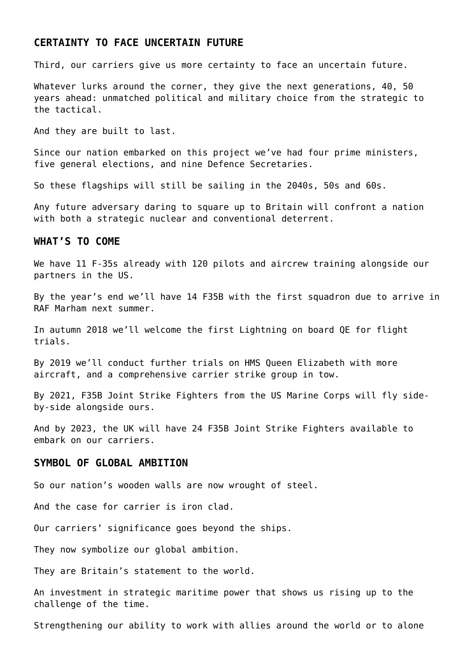### **CERTAINTY TO FACE UNCERTAIN FUTURE**

Third, our carriers give us more certainty to face an uncertain future.

Whatever lurks around the corner, they give the next generations, 40, 50 years ahead: unmatched political and military choice from the strategic to the tactical.

And they are built to last.

Since our nation embarked on this project we've had four prime ministers, five general elections, and nine Defence Secretaries.

So these flagships will still be sailing in the 2040s, 50s and 60s.

Any future adversary daring to square up to Britain will confront a nation with both a strategic nuclear and conventional deterrent.

### **WHAT'S TO COME**

We have 11 F-35s already with 120 pilots and aircrew training alongside our partners in the US.

By the year's end we'll have 14 F35B with the first squadron due to arrive in RAF Marham next summer.

In autumn 2018 we'll welcome the first Lightning on board QE for flight trials.

By 2019 we'll conduct further trials on HMS Queen Elizabeth with more aircraft, and a comprehensive carrier strike group in tow.

By 2021, F35B Joint Strike Fighters from the US Marine Corps will fly sideby-side alongside ours.

And by 2023, the UK will have 24 F35B Joint Strike Fighters available to embark on our carriers.

#### **SYMBOL OF GLOBAL AMBITION**

So our nation's wooden walls are now wrought of steel.

And the case for carrier is iron clad.

Our carriers' significance goes beyond the ships.

They now symbolize our global ambition.

They are Britain's statement to the world.

An investment in strategic maritime power that shows us rising up to the challenge of the time.

Strengthening our ability to work with allies around the world or to alone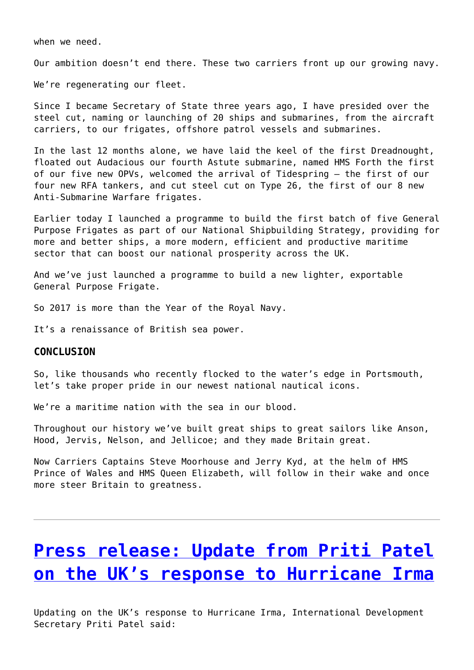when we need.

Our ambition doesn't end there. These two carriers front up our growing navy.

We're regenerating our fleet.

Since I became Secretary of State three years ago, I have presided over the steel cut, naming or launching of 20 ships and submarines, from the aircraft carriers, to our frigates, offshore patrol vessels and submarines.

In the last 12 months alone, we have laid the keel of the first Dreadnought, floated out Audacious our fourth Astute submarine, named HMS Forth the first of our five new OPVs, welcomed the arrival of Tidespring – the first of our four new RFA tankers, and cut steel cut on Type 26, the first of our 8 new Anti-Submarine Warfare frigates.

Earlier today I launched a programme to build the first batch of five General Purpose Frigates as part of our National Shipbuilding Strategy, providing for more and better ships, a more modern, efficient and productive maritime sector that can boost our national prosperity across the UK.

And we've just launched a programme to build a new lighter, exportable General Purpose Frigate.

So 2017 is more than the Year of the Royal Navy.

It's a renaissance of British sea power.

#### **CONCLUSION**

So, like thousands who recently flocked to the water's edge in Portsmouth, let's take proper pride in our newest national nautical icons.

We're a maritime nation with the sea in our blood.

Throughout our history we've built great ships to great sailors like Anson, Hood, Jervis, Nelson, and Jellicoe; and they made Britain great.

Now Carriers Captains Steve Moorhouse and Jerry Kyd, at the helm of HMS Prince of Wales and HMS Queen Elizabeth, will follow in their wake and once more steer Britain to greatness.

# **[Press release: Update from Priti Patel](http://www.government-world.com/press-release-update-from-priti-patel-on-the-uks-response-to-hurricane-irma-2/) [on the UK's response to Hurricane Irma](http://www.government-world.com/press-release-update-from-priti-patel-on-the-uks-response-to-hurricane-irma-2/)**

Updating on the UK's response to Hurricane Irma, International Development Secretary Priti Patel said: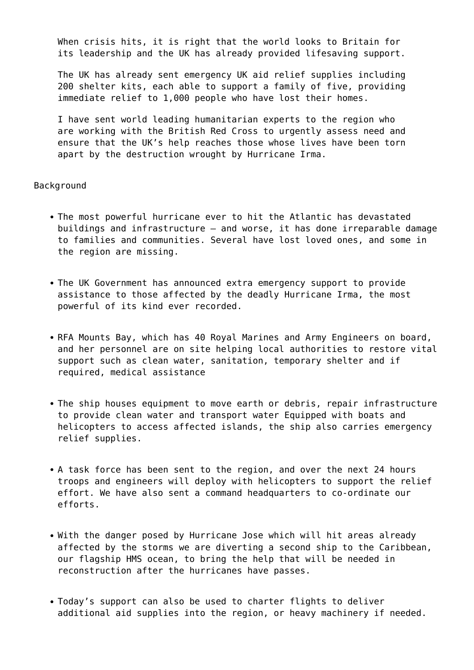When crisis hits, it is right that the world looks to Britain for its leadership and the UK has already provided lifesaving support.

The UK has already sent emergency UK aid relief supplies including 200 shelter kits, each able to support a family of five, providing immediate relief to 1,000 people who have lost their homes.

I have sent world leading humanitarian experts to the region who are working with the British Red Cross to urgently assess need and ensure that the UK's help reaches those whose lives have been torn apart by the destruction wrought by Hurricane Irma.

#### **Background**

- The most powerful hurricane ever to hit the Atlantic has devastated buildings and infrastructure – and worse, it has done irreparable damage to families and communities. Several have lost loved ones, and some in the region are missing.
- The UK Government has announced extra emergency support to provide assistance to those affected by the deadly Hurricane Irma, the most powerful of its kind ever recorded.
- RFA Mounts Bay, which has 40 Royal Marines and Army Engineers on board, and her personnel are on site helping local authorities to restore vital support such as clean water, sanitation, temporary shelter and if required, medical assistance
- The ship houses equipment to move earth or debris, repair infrastructure to provide clean water and transport water Equipped with boats and helicopters to access affected islands, the ship also carries emergency relief supplies.
- A task force has been sent to the region, and over the next 24 hours troops and engineers will deploy with helicopters to support the relief effort. We have also sent a command headquarters to co-ordinate our efforts.
- With the danger posed by Hurricane Jose which will hit areas already affected by the storms we are diverting a second ship to the Caribbean, our flagship HMS ocean, to bring the help that will be needed in reconstruction after the hurricanes have passes.
- Today's support can also be used to charter flights to deliver additional aid supplies into the region, or heavy machinery if needed.